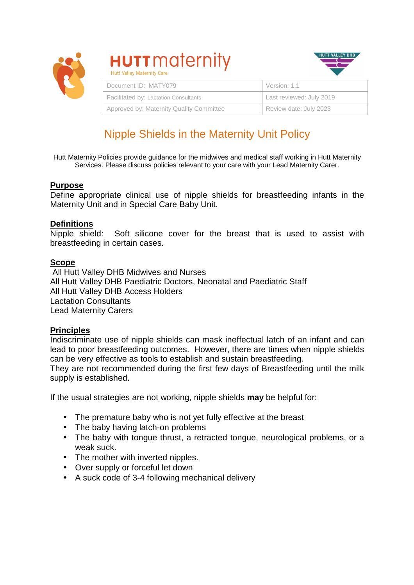

# **HUTT** maternity



| Document ID: MATY079                     | Version: 1.1             |
|------------------------------------------|--------------------------|
| Facilitated by: Lactation Consultants    | Last reviewed: July 2019 |
| Approved by: Maternity Quality Committee | Review date: July 2023   |

# Nipple Shields in the Maternity Unit Policy

Hutt Maternity Policies provide guidance for the midwives and medical staff working in Hutt Maternity Services. Please discuss policies relevant to your care with your Lead Maternity Carer.

#### **Purpose**

Define appropriate clinical use of nipple shields for breastfeeding infants in the Maternity Unit and in Special Care Baby Unit.

#### **Definitions**

Nipple shield: Soft silicone cover for the breast that is used to assist with breastfeeding in certain cases.

#### **Scope**

 All Hutt Valley DHB Midwives and Nurses All Hutt Valley DHB Paediatric Doctors, Neonatal and Paediatric Staff All Hutt Valley DHB Access Holders Lactation Consultants Lead Maternity Carers

#### **Principles**

Indiscriminate use of nipple shields can mask ineffectual latch of an infant and can lead to poor breastfeeding outcomes. However, there are times when nipple shields can be very effective as tools to establish and sustain breastfeeding.

They are not recommended during the first few days of Breastfeeding until the milk supply is established.

If the usual strategies are not working, nipple shields **may** be helpful for:

- The premature baby who is not yet fully effective at the breast
- The baby having latch-on problems
- The baby with tongue thrust, a retracted tongue, neurological problems, or a weak suck.
- The mother with inverted nipples.
- Over supply or forceful let down
- A suck code of 3-4 following mechanical delivery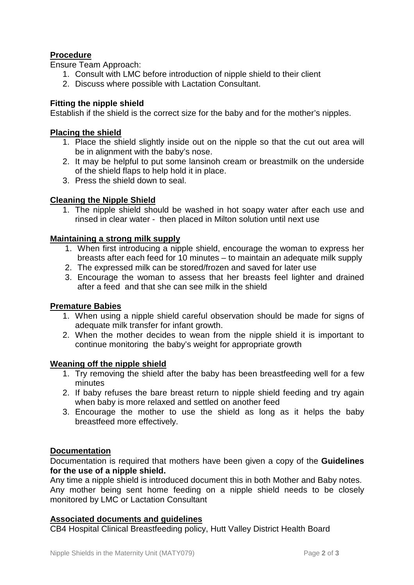## **Procedure**

Ensure Team Approach:

- 1. Consult with LMC before introduction of nipple shield to their client
- 2. Discuss where possible with Lactation Consultant.

## **Fitting the nipple shield**

Establish if the shield is the correct size for the baby and for the mother's nipples.

#### **Placing the shield**

- 1. Place the shield slightly inside out on the nipple so that the cut out area will be in alignment with the baby's nose.
- 2. It may be helpful to put some lansinoh cream or breastmilk on the underside of the shield flaps to help hold it in place.
- 3. Press the shield down to seal.

#### **Cleaning the Nipple Shield**

1. The nipple shield should be washed in hot soapy water after each use and rinsed in clear water - then placed in Milton solution until next use

#### **Maintaining a strong milk supply**

- 1. When first introducing a nipple shield, encourage the woman to express her breasts after each feed for 10 minutes – to maintain an adequate milk supply
- 2. The expressed milk can be stored/frozen and saved for later use
- 3. Encourage the woman to assess that her breasts feel lighter and drained after a feed and that she can see milk in the shield

#### **Premature Babies**

- 1. When using a nipple shield careful observation should be made for signs of adequate milk transfer for infant growth.
- 2. When the mother decides to wean from the nipple shield it is important to continue monitoring the baby's weight for appropriate growth

#### **Weaning off the nipple shield**

- 1. Try removing the shield after the baby has been breastfeeding well for a few minutes
- 2. If baby refuses the bare breast return to nipple shield feeding and try again when baby is more relaxed and settled on another feed
- 3. Encourage the mother to use the shield as long as it helps the baby breastfeed more effectively.

#### **Documentation**

Documentation is required that mothers have been given a copy of the **Guidelines for the use of a nipple shield.**

Any time a nipple shield is introduced document this in both Mother and Baby notes. Any mother being sent home feeding on a nipple shield needs to be closely monitored by LMC or Lactation Consultant

#### **Associated documents and guidelines**

CB4 Hospital Clinical Breastfeeding policy, Hutt Valley District Health Board